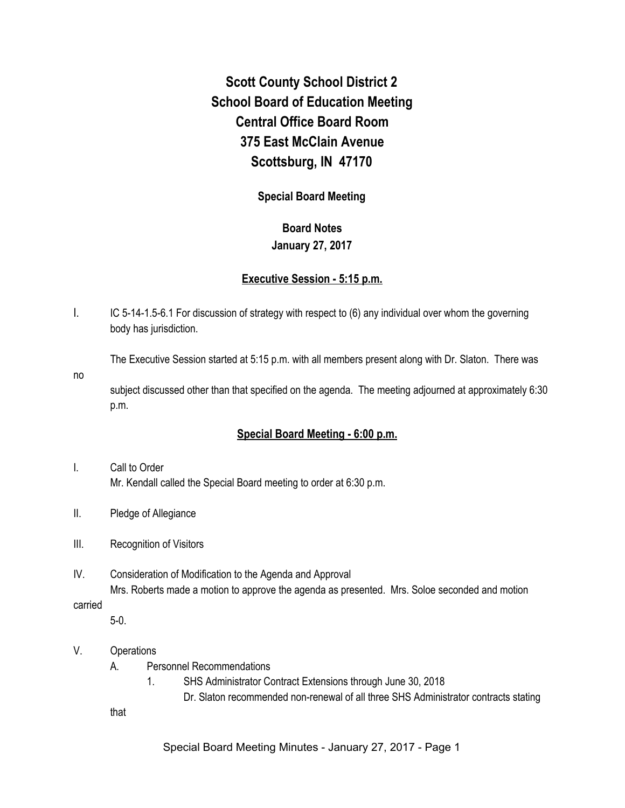# **Scott County School District 2 School Board of Education Meeting Central Office Board Room 375 East McClain Avenue Scottsburg, IN 47170**

# **Special Board Meeting**

## **Board Notes**

## **January 27, 2017**

# **Executive Session - 5:15 p.m.**

I. IC 5-14-1.5-6.1 For discussion of strategy with respect to (6) any individual over whom the governing body has jurisdiction.

The Executive Session started at 5:15 p.m. with all members present along with Dr. Slaton. There was

no

subject discussed other than that specified on the agenda. The meeting adjourned at approximately 6:30 p.m.

# **Special Board Meeting - 6:00 p.m.**

- I. Call to Order Mr. Kendall called the Special Board meeting to order at 6:30 p.m.
- II. Pledge of Allegiance
- III. Recognition of Visitors
- IV. Consideration of Modification to the Agenda and Approval Mrs. Roberts made a motion to approve the agenda as presented. Mrs. Soloe seconded and motion

## carried

5-0.

- V. Operations
	- A. Personnel Recommendations
		- 1. SHS Administrator Contract Extensions through June 30, 2018
			- Dr. Slaton recommended non-renewal of all three SHS Administrator contracts stating

that

Special Board Meeting Minutes - January 27, 2017 - Page 1